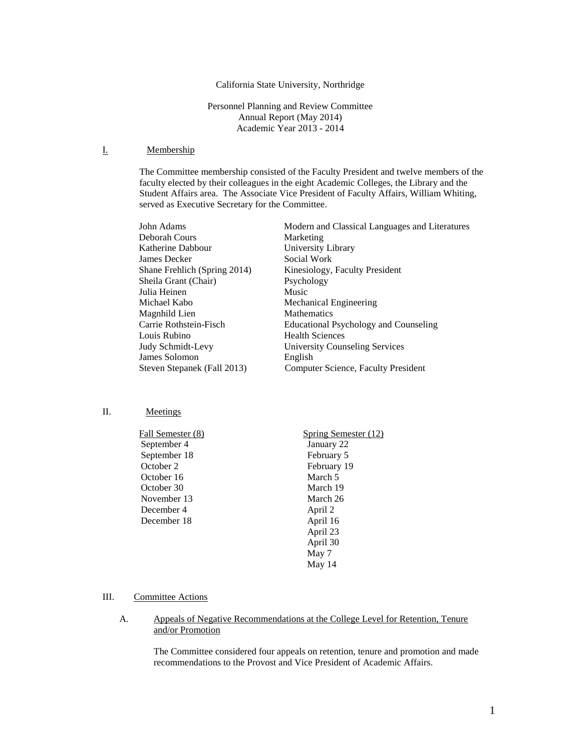#### California State University, Northridge

Personnel Planning and Review Committee Annual Report (May 2014) Academic Year 2013 - 2014

### I. Membership

The Committee membership consisted of the Faculty President and twelve members of the faculty elected by their colleagues in the eight Academic Colleges, the Library and the Student Affairs area. The Associate Vice President of Faculty Affairs, William Whiting, served as Executive Secretary for the Committee.

| John Adams                   | Modern and Classical Languages and Literatures |
|------------------------------|------------------------------------------------|
| Deborah Cours                | Marketing                                      |
| Katherine Dabbour            | University Library                             |
| James Decker                 | Social Work                                    |
| Shane Frehlich (Spring 2014) | Kinesiology, Faculty President                 |
| Sheila Grant (Chair)         | Psychology                                     |
| Julia Heinen                 | Music                                          |
| Michael Kabo                 | Mechanical Engineering                         |
| Magnhild Lien                | <b>Mathematics</b>                             |
| Carrie Rothstein-Fisch       | Educational Psychology and Counseling          |
| Louis Rubino                 | <b>Health Sciences</b>                         |
| Judy Schmidt-Levy            | <b>University Counseling Services</b>          |
| James Solomon                | English                                        |
| Steven Stepanek (Fall 2013)  | Computer Science, Faculty President            |
|                              |                                                |

### II. Meetings

| <b>Fall Semester (8)</b> | Spring Semester (12) |
|--------------------------|----------------------|
| September 4              | January 22           |
| September 18             | February 5           |
| October 2                | February 19          |
| October 16               | March 5              |
| October 30               | March 19             |
| November 13              | March 26             |
| December 4               | April 2              |
| December 18              | April 16             |
|                          | April 23             |
|                          | April 30             |
|                          | May 7                |

### III. Committee Actions

### A. Appeals of Negative Recommendations at the College Level for Retention, Tenure and/or Promotion

The Committee considered four appeals on retention, tenure and promotion and made recommendations to the Provost and Vice President of Academic Affairs.

May 14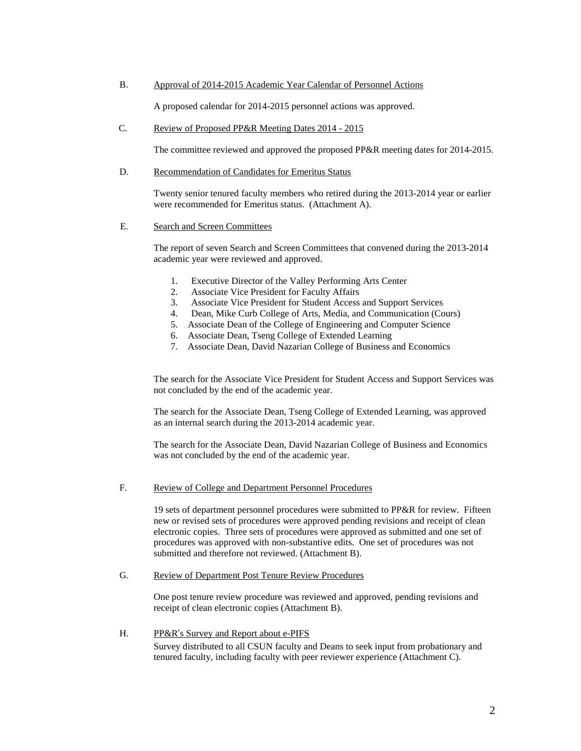#### B. Approval of 2014-2015 Academic Year Calendar of Personnel Actions

A proposed calendar for 2014-2015 personnel actions was approved.

#### C. Review of Proposed PP&R Meeting Dates 2014 - 2015

The committee reviewed and approved the proposed PP&R meeting dates for 2014-2015.

#### D. Recommendation of Candidates for Emeritus Status

Twenty senior tenured faculty members who retired during the 2013-2014 year or earlier were recommended for Emeritus status. (Attachment A).

#### E. Search and Screen Committees

The report of seven Search and Screen Committees that convened during the 2013-2014 academic year were reviewed and approved.

- 1. Executive Director of the Valley Performing Arts Center
- 2. Associate Vice President for Faculty Affairs
- 3. Associate Vice President for Student Access and Support Services
- 4. Dean, Mike Curb College of Arts, Media, and Communication (Cours)
- 5. Associate Dean of the College of Engineering and Computer Science
- 6. Associate Dean, Tseng College of Extended Learning
- 7. Associate Dean, David Nazarian College of Business and Economics

The search for the Associate Vice President for Student Access and Support Services was not concluded by the end of the academic year.

The search for the Associate Dean, Tseng College of Extended Learning, was approved as an internal search during the 2013-2014 academic year.

The search for the Associate Dean, David Nazarian College of Business and Economics was not concluded by the end of the academic year.

#### F. Review of College and Department Personnel Procedures

19 sets of department personnel procedures were submitted to PP&R for review. Fifteen new or revised sets of procedures were approved pending revisions and receipt of clean electronic copies. Three sets of procedures were approved as submitted and one set of procedures was approved with non-substantive edits. One set of procedures was not submitted and therefore not reviewed. (Attachment B).

### G. Review of Department Post Tenure Review Procedures

One post tenure review procedure was reviewed and approved, pending revisions and receipt of clean electronic copies (Attachment B).

### H. PP&R's Survey and Report about e-PIFS

Survey distributed to all CSUN faculty and Deans to seek input from probationary and tenured faculty, including faculty with peer reviewer experience (Attachment C).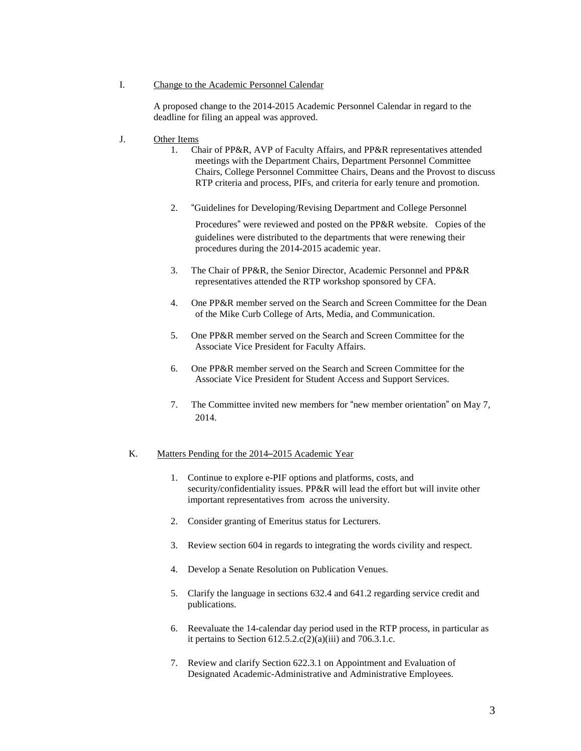### I. Change to the Academic Personnel Calendar

A proposed change to the 2014-2015 Academic Personnel Calendar in regard to the deadline for filing an appeal was approved.

- J. Other Items
	- 1. Chair of PP&R, AVP of Faculty Affairs, and PP&R representatives attended meetings with the Department Chairs, Department Personnel Committee Chairs, College Personnel Committee Chairs, Deans and the Provost to discuss RTP criteria and process, PIFs, and criteria for early tenure and promotion.
	- 2. "Guidelines for Developing/Revising Department and College Personnel

Procedures" were reviewed and posted on the PP&R website. Copies of the guidelines were distributed to the departments that were renewing their procedures during the 2014-2015 academic year.

- 3. The Chair of PP&R, the Senior Director, Academic Personnel and PP&R representatives attended the RTP workshop sponsored by CFA.
- 4. One PP&R member served on the Search and Screen Committee for the Dean of the Mike Curb College of Arts, Media, and Communication.
- 5. One PP&R member served on the Search and Screen Committee for the Associate Vice President for Faculty Affairs.
- 6. One PP&R member served on the Search and Screen Committee for the Associate Vice President for Student Access and Support Services.
- 7. The Committee invited new members for "new member orientation" on May 7, 2014.

### K. Matters Pending for the 2014–2015 Academic Year

- 1. Continue to explore e-PIF options and platforms, costs, and security/confidentiality issues. PP&R will lead the effort but will invite other important representatives from across the university.
- 2. Consider granting of Emeritus status for Lecturers.
- 3. Review section 604 in regards to integrating the words civility and respect.
- 4. Develop a Senate Resolution on Publication Venues.
- 5. Clarify the language in sections 632.4 and 641.2 regarding service credit and publications.
- 6. Reevaluate the 14-calendar day period used in the RTP process, in particular as it pertains to Section  $612.5.2(c(2)(a)(iii))$  and  $706.3.1.c.$
- 7. Review and clarify Section 622.3.1 on Appointment and Evaluation of Designated Academic-Administrative and Administrative Employees.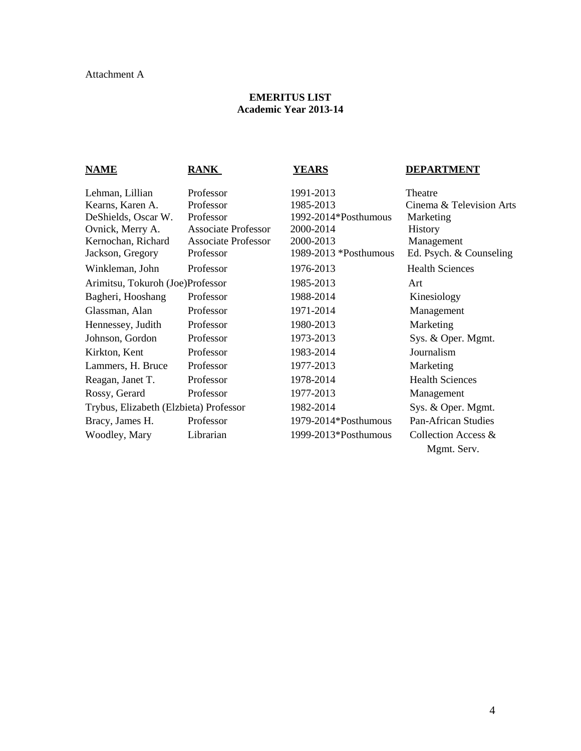### Attachment A

### **EMERITUS LIST Academic Year 2013-14**

### **NAME RANK YEARS DEPARTMENT** Lehman, Lillian Professor 1991-2013 Theatre<br>
Kearns, Karen A. Professor 1985-2013 Cinema Kearns, Karen A. Professor 1985-2013 Cinema & Television Arts DeShields, Oscar W. Professor 1992-2014\*Posthumous Marketing Ovnick, Merry A. Associate Professor 2000-2014 History Kernochan, Richard Associate Professor 2000-2013 Management Jackson, Gregory Professor 1989-2013 \*Posthumous Ed. Psych. & Counseling Winkleman, John Professor 1976-2013 Health Sciences Arimitsu, Tokuroh (Joe)Professor 1985-2013 Art Bagheri, Hooshang Professor 1988-2014 Kinesiology Glassman, Alan Professor 1971-2014 Management Hennessey, Judith Professor 1980-2013 Marketing Johnson, Gordon Professor 1973-2013 Sys. & Oper. Mgmt. Kirkton, Kent Professor 1983-2014 Journalism Lammers, H. Bruce Professor 1977-2013 Marketing Reagan, Janet T. Professor 1978-2014 Health Sciences Rossy, Gerard Professor 1977-2013 Management Trybus, Elizabeth (Elzbieta) Professor 1982-2014 Sys. & Oper. Mgmt. Bracy, James H. Professor 1979-2014\*Posthumous Pan-African Studies Woodley, Mary Librarian 1999-2013\*Posthumous Collection Access & Mgmt. Serv.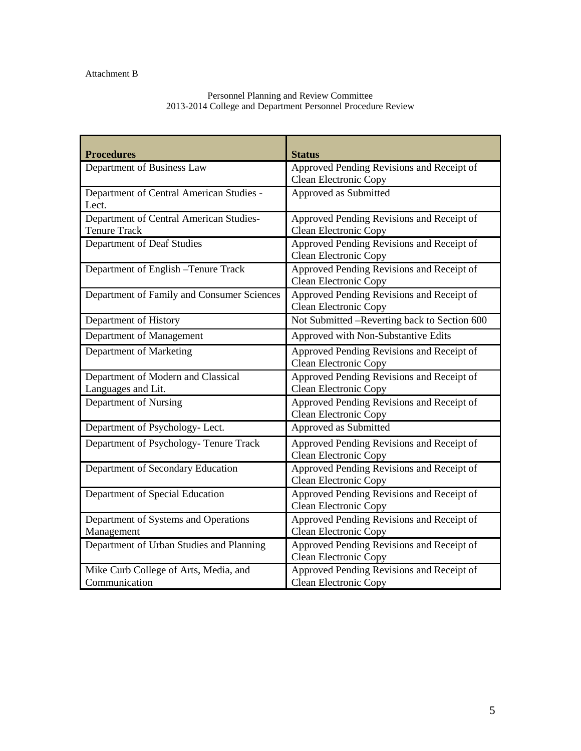### Attachment B

### Personnel Planning and Review Committee 2013-2014 College and Department Personnel Procedure Review

| <b>Procedures</b>                                              | <b>Status</b>                                                             |
|----------------------------------------------------------------|---------------------------------------------------------------------------|
| Department of Business Law                                     | Approved Pending Revisions and Receipt of<br>Clean Electronic Copy        |
| Department of Central American Studies -<br>Lect.              | Approved as Submitted                                                     |
| Department of Central American Studies-<br><b>Tenure Track</b> | Approved Pending Revisions and Receipt of<br>Clean Electronic Copy        |
| Department of Deaf Studies                                     | Approved Pending Revisions and Receipt of<br>Clean Electronic Copy        |
| Department of English -Tenure Track                            | Approved Pending Revisions and Receipt of<br>Clean Electronic Copy        |
| Department of Family and Consumer Sciences                     | Approved Pending Revisions and Receipt of<br>Clean Electronic Copy        |
| Department of History                                          | Not Submitted –Reverting back to Section 600                              |
| Department of Management                                       | Approved with Non-Substantive Edits                                       |
| Department of Marketing                                        | Approved Pending Revisions and Receipt of<br>Clean Electronic Copy        |
| Department of Modern and Classical<br>Languages and Lit.       | Approved Pending Revisions and Receipt of<br>Clean Electronic Copy        |
| Department of Nursing                                          | Approved Pending Revisions and Receipt of<br>Clean Electronic Copy        |
| Department of Psychology- Lect.                                | Approved as Submitted                                                     |
| Department of Psychology-Tenure Track                          | Approved Pending Revisions and Receipt of<br>Clean Electronic Copy        |
| Department of Secondary Education                              | Approved Pending Revisions and Receipt of<br>Clean Electronic Copy        |
| Department of Special Education                                | Approved Pending Revisions and Receipt of<br>Clean Electronic Copy        |
| Department of Systems and Operations<br>Management             | Approved Pending Revisions and Receipt of<br>Clean Electronic Copy        |
| Department of Urban Studies and Planning                       | Approved Pending Revisions and Receipt of<br>Clean Electronic Copy        |
| Mike Curb College of Arts, Media, and<br>Communication         | Approved Pending Revisions and Receipt of<br><b>Clean Electronic Copy</b> |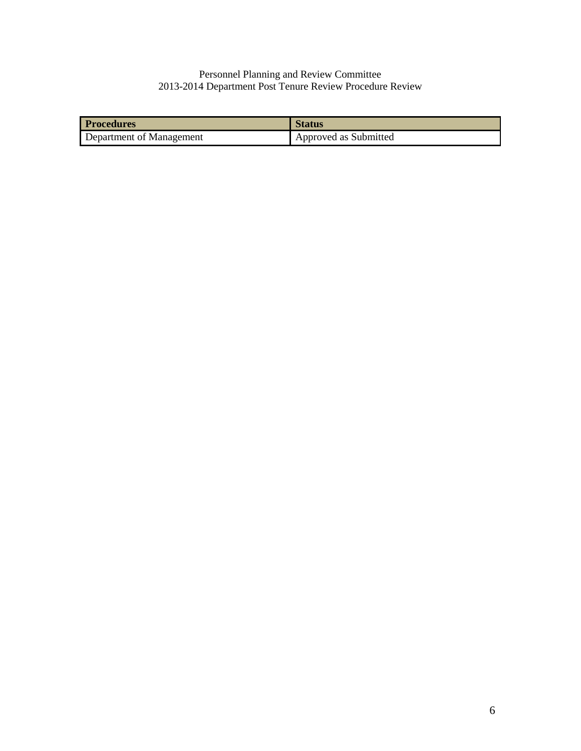### Personnel Planning and Review Committee 2013-2014 Department Post Tenure Review Procedure Review

| <b>Procedures</b>        | <b>Status</b>         |
|--------------------------|-----------------------|
| Department of Management | Approved as Submitted |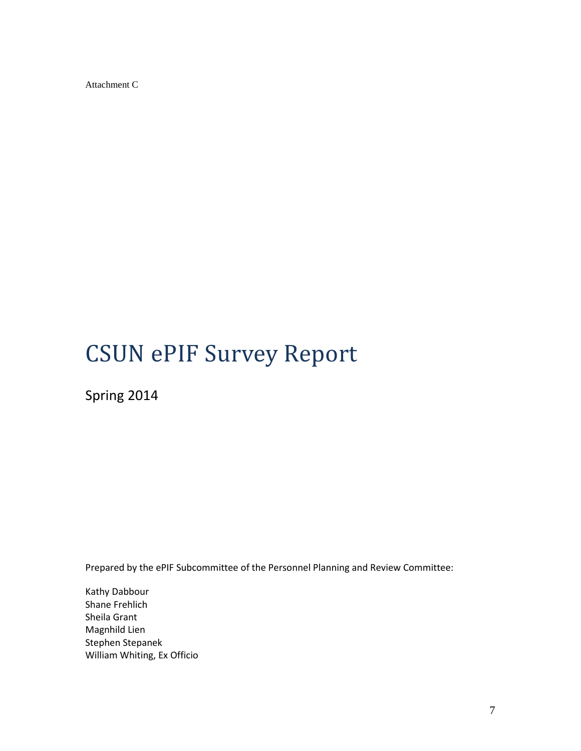Attachment C

# CSUN ePIF Survey Report

Spring 2014

Prepared by the ePIF Subcommittee of the Personnel Planning and Review Committee:

Kathy Dabbour Shane Frehlich Sheila Grant Magnhild Lien Stephen Stepanek William Whiting, Ex Officio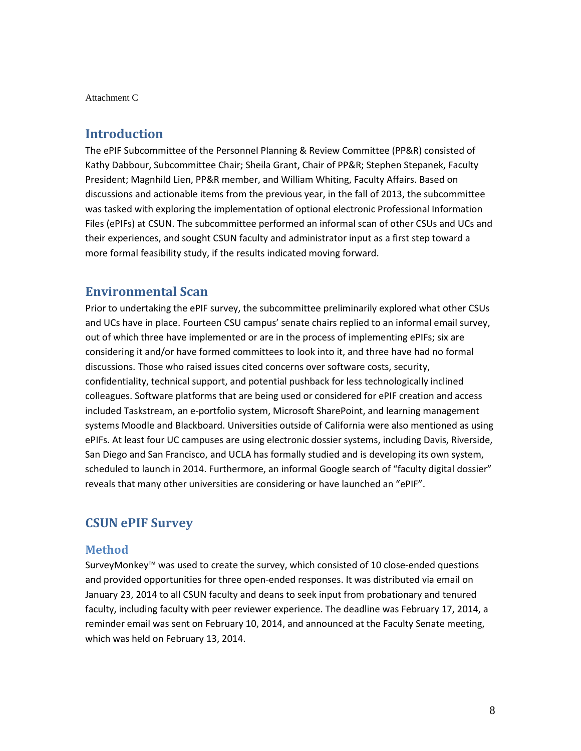Attachment C

### **Introduction**

The ePIF Subcommittee of the Personnel Planning & Review Committee (PP&R) consisted of Kathy Dabbour, Subcommittee Chair; Sheila Grant, Chair of PP&R; Stephen Stepanek, Faculty President; Magnhild Lien, PP&R member, and William Whiting, Faculty Affairs. Based on discussions and actionable items from the previous year, in the fall of 2013, the subcommittee was tasked with exploring the implementation of optional electronic Professional Information Files (ePIFs) at CSUN. The subcommittee performed an informal scan of other CSUs and UCs and their experiences, and sought CSUN faculty and administrator input as a first step toward a more formal feasibility study, if the results indicated moving forward.

### **Environmental Scan**

Prior to undertaking the ePIF survey, the subcommittee preliminarily explored what other CSUs and UCs have in place. Fourteen CSU campus' senate chairs replied to an informal email survey, out of which three have implemented or are in the process of implementing ePIFs; six are considering it and/or have formed committees to look into it, and three have had no formal discussions. Those who raised issues cited concerns over software costs, security, confidentiality, technical support, and potential pushback for less technologically inclined colleagues. Software platforms that are being used or considered for ePIF creation and access included Taskstream, an e-portfolio system, Microsoft SharePoint, and learning management systems Moodle and Blackboard. Universities outside of California were also mentioned as using ePIFs. At least four UC campuses are using electronic dossier systems, including Davis, Riverside, San Diego and San Francisco, and UCLA has formally studied and is developing its own system, scheduled to launch in 2014. Furthermore, an informal Google search of "faculty digital dossier" reveals that many other universities are considering or have launched an "ePIF".

### **CSUN ePIF Survey**

### **Method**

SurveyMonkey™ was used to create the survey, which consisted of 10 close-ended questions and provided opportunities for three open-ended responses. It was distributed via email on January 23, 2014 to all CSUN faculty and deans to seek input from probationary and tenured faculty, including faculty with peer reviewer experience. The deadline was February 17, 2014, a reminder email was sent on February 10, 2014, and announced at the Faculty Senate meeting, which was held on February 13, 2014.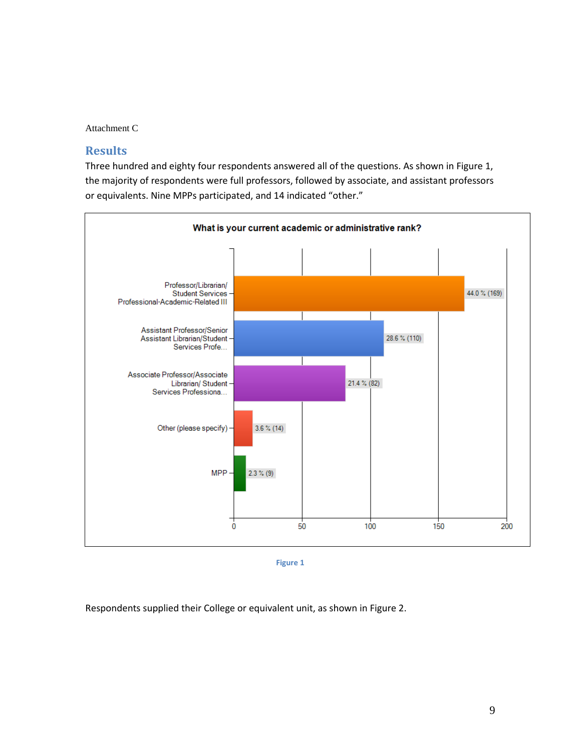Attachment C

### **Results**

Three hundred and eighty four respondents answered all of the questions. As shown in Figure 1, the majority of respondents were full professors, followed by associate, and assistant professors or equivalents. Nine MPPs participated, and 14 indicated "other."



**Figure 1**

Respondents supplied their College or equivalent unit, as shown in Figure 2.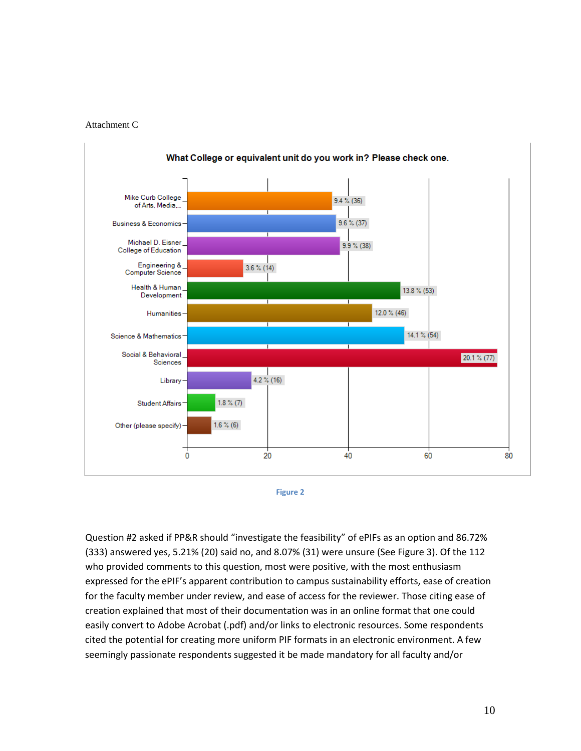





Question #2 asked if PP&R should "investigate the feasibility" of ePIFs as an option and 86.72% (333) answered yes, 5.21% (20) said no, and 8.07% (31) were unsure (See Figure 3). Of the 112 who provided comments to this question, most were positive, with the most enthusiasm expressed for the ePIF's apparent contribution to campus sustainability efforts, ease of creation for the faculty member under review, and ease of access for the reviewer. Those citing ease of creation explained that most of their documentation was in an online format that one could easily convert to Adobe Acrobat (.pdf) and/or links to electronic resources. Some respondents cited the potential for creating more uniform PIF formats in an electronic environment. A few seemingly passionate respondents suggested it be made mandatory for all faculty and/or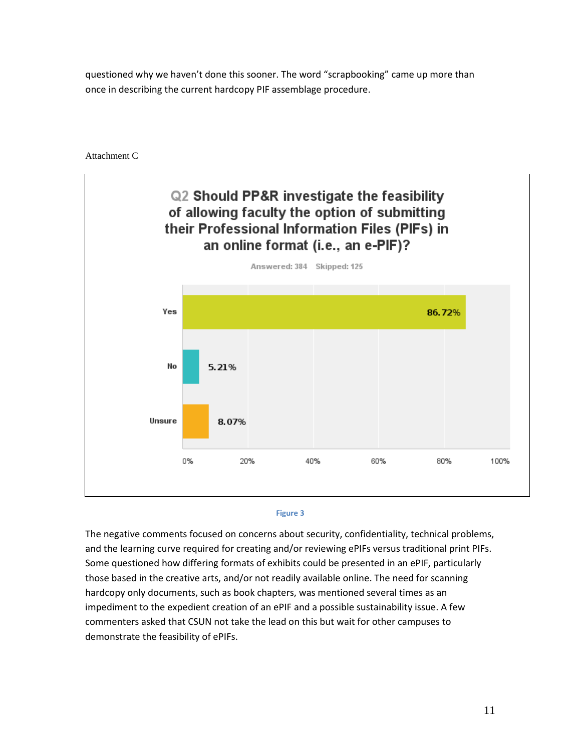questioned why we haven't done this sooner. The word "scrapbooking" came up more than once in describing the current hardcopy PIF assemblage procedure.

Attachment C





The negative comments focused on concerns about security, confidentiality, technical problems, and the learning curve required for creating and/or reviewing ePIFs versus traditional print PIFs. Some questioned how differing formats of exhibits could be presented in an ePIF, particularly those based in the creative arts, and/or not readily available online. The need for scanning hardcopy only documents, such as book chapters, was mentioned several times as an impediment to the expedient creation of an ePIF and a possible sustainability issue. A few commenters asked that CSUN not take the lead on this but wait for other campuses to demonstrate the feasibility of ePIFs.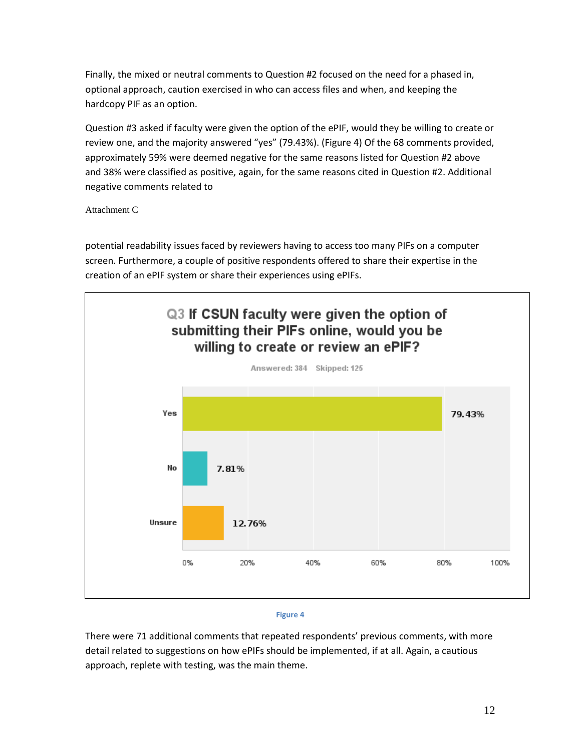Finally, the mixed or neutral comments to Question #2 focused on the need for a phased in, optional approach, caution exercised in who can access files and when, and keeping the hardcopy PIF as an option.

Question #3 asked if faculty were given the option of the ePIF, would they be willing to create or review one, and the majority answered "yes" (79.43%). (Figure 4) Of the 68 comments provided, approximately 59% were deemed negative for the same reasons listed for Question #2 above and 38% were classified as positive, again, for the same reasons cited in Question #2. Additional negative comments related to

Attachment C

potential readability issues faced by reviewers having to access too many PIFs on a computer screen. Furthermore, a couple of positive respondents offered to share their expertise in the creation of an ePIF system or share their experiences using ePIFs.



#### **Figure 4**

There were 71 additional comments that repeated respondents' previous comments, with more detail related to suggestions on how ePIFs should be implemented, if at all. Again, a cautious approach, replete with testing, was the main theme.